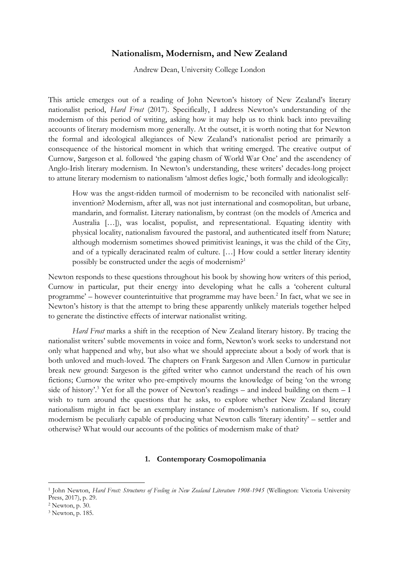## **Nationalism, Modernism, and New Zealand**

Andrew Dean, University College London

This article emerges out of a reading of John Newton's history of New Zealand's literary nationalist period, *Hard Frost* (2017). Specifically, I address Newton's understanding of the modernism of this period of writing, asking how it may help us to think back into prevailing accounts of literary modernism more generally. At the outset, it is worth noting that for Newton the formal and ideological allegiances of New Zealand's nationalist period are primarily a consequence of the historical moment in which that writing emerged. The creative output of Curnow, Sargeson et al. followed 'the gaping chasm of World War One' and the ascendency of Anglo-Irish literary modernism. In Newton's understanding, these writers' decades-long project to attune literary modernism to nationalism 'almost defies logic,' both formally and ideologically:

How was the angst-ridden turmoil of modernism to be reconciled with nationalist selfinvention? Modernism, after all, was not just international and cosmopolitan, but urbane, mandarin, and formalist. Literary nationalism, by contrast (on the models of America and Australia […]), was localist, populist, and representational. Equating identity with physical locality, nationalism favoured the pastoral, and authenticated itself from Nature; although modernism sometimes showed primitivist leanings, it was the child of the City, and of a typically deracinated realm of culture. […] How could a settler literary identity possibly be constructed under the aegis of modernism?<sup>1</sup>

Newton responds to these questions throughout his book by showing how writers of this period, Curnow in particular, put their energy into developing what he calls a 'coherent cultural programme'  $-$  however counterintuitive that programme may have been.<sup>2</sup> In fact, what we see in Newton's history is that the attempt to bring these apparently unlikely materials together helped to generate the distinctive effects of interwar nationalist writing.

*Hard Frost* marks a shift in the reception of New Zealand literary history. By tracing the nationalist writers' subtle movements in voice and form, Newton's work seeks to understand not only what happened and why, but also what we should appreciate about a body of work that is both unloved and much-loved. The chapters on Frank Sargeson and Allen Curnow in particular break new ground: Sargeson is the gifted writer who cannot understand the reach of his own fictions; Curnow the writer who pre-emptively mourns the knowledge of being 'on the wrong side of history'.<sup>3</sup> Yet for all the power of Newton's readings – and indeed building on them  $-1$ wish to turn around the questions that he asks, to explore whether New Zealand literary nationalism might in fact be an exemplary instance of modernism's nationalism. If so, could modernism be peculiarly capable of producing what Newton calls 'literary identity' – settler and otherwise? What would our accounts of the politics of modernism make of that?

## **1. Contemporary Cosmopolimania**

<sup>&</sup>lt;sup>1</sup> John Newton, *Hard Frost: Structures of Feeling in New Zealand Literature 1908-1945* (Wellington: Victoria University Press, 2017), p. 29.

<sup>2</sup> Newton, p. 30.

<sup>3</sup> Newton, p. 185.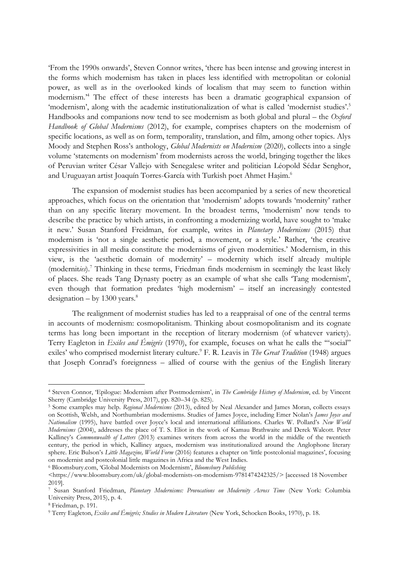'From the 1990s onwards', Steven Connor writes, 'there has been intense and growing interest in the forms which modernism has taken in places less identified with metropolitan or colonial power, as well as in the overlooked kinds of localism that may seem to function within modernism.'<sup>4</sup> The effect of these interests has been a dramatic geographical expansion of 'modernism', along with the academic institutionalization of what is called 'modernist studies'.<sup>5</sup> Handbooks and companions now tend to see modernism as both global and plural – the *Oxford Handbook of Global Modernisms* (2012), for example, comprises chapters on the modernism of specific locations, as well as on form, temporality, translation, and film, among other topics. Alys Moody and Stephen Ross's anthology, *Global Modernists on Modernism* (2020), collects into a single volume 'statements on modernism' from modernists across the world, bringing together the likes of Peruvian writer César Vallejo with Senegalese writer and politician Léopold Sédar Senghor, and Uruguayan artist Joaquín Torres-García with Turkish poet Ahmet Haşim.<sup>6</sup>

The expansion of modernist studies has been accompanied by a series of new theoretical approaches, which focus on the orientation that 'modernism' adopts towards 'modernity' rather than on any specific literary movement. In the broadest terms, 'modernism' now tends to describe the practice by which artists, in confronting a modernizing world, have sought to 'make it new.' Susan Stanford Freidman, for example, writes in *Planetary Modernisms* (2015) that modernism is 'not a single aesthetic period, a movement, or a style.' Rather, 'the creative expressivities in all media constitute the modernisms of given modernities.' Modernism, in this view, is the 'aesthetic domain of modernity' – modernity which itself already multiple (modernit*ies*). <sup>7</sup> Thinking in these terms, Friedman finds modernism in seemingly the least likely of places. She reads Tang Dynasty poetry as an example of what she calls 'Tang modernism', even though that formation predates 'high modernism' – itself an increasingly contested designation – by  $1300$  years.<sup>8</sup>

The realignment of modernist studies has led to a reappraisal of one of the central terms in accounts of modernism: cosmopolitanism. Thinking about cosmopolitanism and its cognate terms has long been important in the reception of literary modernism (of whatever variety). Terry Eagleton in *Exiles and Émigrés* (1970), for example, focuses on what he calls the '"social" exiles' who comprised modernist literary culture. <sup>9</sup> F. R. Leavis in *The Great Tradition* (1948) argues that Joseph Conrad's foreignness – allied of course with the genius of the English literary

<sup>6</sup> Bloomsbury.com, 'Global Modernists on Modernism', *Bloomsbury Publishing*

<sup>4</sup> Steven Connor, 'Epilogue: Modernism after Postmodernism', in *The Cambridge History of Modernism*, ed. by Vincent Sherry (Cambridge University Press, 2017), pp. 820–34 (p. 825).

<sup>5</sup> Some examples may help. *Regional Modernisms* (2013), edited by Neal Alexander and James Moran, collects essays on Scottish, Welsh, and Northumbrian modernisms. Studies of James Joyce, including Emer Nolan's *James Joyce and Nationalism* (1995), have battled over Joyce's local and international affiliations. Charles W. Pollard's *New World Modernisms* (2004), addresses the place of T. S. Eliot in the work of Kamau Brathwaite and Derek Walcott. Peter Kalliney's *Commonwealth of Letters* (2013) examines writers from across the world in the middle of the twentieth century, the period in which, Kalliney argues, modernism was institutionalized around the Anglophone literary sphere. Eric Bulson's *Little Magazine, World Form* (2016) features a chapter on 'little postcolonial magazines', focusing on modernist and postcolonial little magazines in Africa and the West Indies.

<sup>&</sup>lt;https://www.bloomsbury.com/uk/global-modernists-on-modernism-9781474242325/> [accessed 18 November 2019].

<sup>7</sup> Susan Stanford Friedman, *Planetary Modernisms: Provocations on Modernity Across Time* (New York: Columbia University Press, 2015), p. 4.

<sup>8</sup> Friedman, p. 191.

<sup>9</sup> Terry Eagleton, *Exiles and Émigrés; Studies in Modern Literature* (New York, Schocken Books, 1970), p. 18.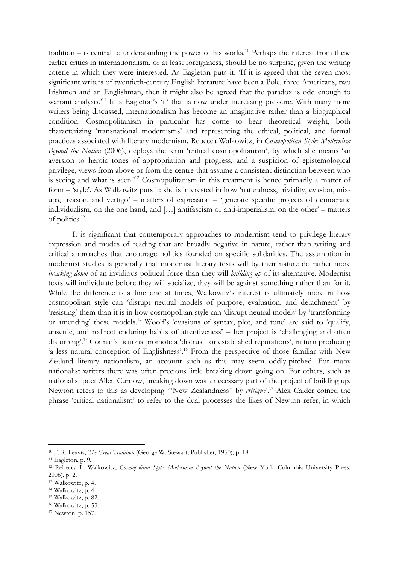tradition  $-$  is central to understanding the power of his works.<sup>10</sup> Perhaps the interest from these earlier critics in internationalism, or at least foreignness, should be no surprise, given the writing coterie in which they were interested. As Eagleton puts it: 'If it is agreed that the seven most significant writers of twentieth-century English literature have been a Pole, three Americans, two Irishmen and an Englishman, then it might also be agreed that the paradox is odd enough to warrant analysis.<sup>'11</sup> It is Eagleton's 'if' that is now under increasing pressure. With many more writers being discussed, internationalism has become an imaginative rather than a biographical condition. Cosmopolitanism in particular has come to bear theoretical weight, both characterizing 'transnational modernisms' and representing the ethical, political, and formal practices associated with literary modernism. Rebecca Walkowitz, in *Cosmopolitan Style: Modernism Beyond the Nation* (2006), deploys the term 'critical cosmopolitanism', by which she means 'an aversion to heroic tones of appropriation and progress, and a suspicion of epistemological privilege, views from above or from the centre that assume a consistent distinction between who is seeing and what is seen.'<sup>12</sup> Cosmopolitanism in this treatment is hence primarily a matter of form – 'style'. As Walkowitz puts it: she is interested in how 'naturalness, triviality, evasion, mixups, treason, and vertigo' – matters of expression – 'generate specific projects of democratic individualism, on the one hand, and […] antifascism or anti-imperialism, on the other' – matters of politics.<sup>13</sup>

It is significant that contemporary approaches to modernism tend to privilege literary expression and modes of reading that are broadly negative in nature, rather than writing and critical approaches that encourage politics founded on specific solidarities. The assumption in modernist studies is generally that modernist literary texts will by their nature do rather more *breaking down* of an invidious political force than they will *building up* of its alternative. Modernist texts will individuate before they will socialize, they will be against something rather than for it. While the difference is a fine one at times, Walkowitz's interest is ultimately more in how cosmopolitan style can 'disrupt neutral models of purpose, evaluation, and detachment' by 'resisting' them than it is in how cosmopolitan style can 'disrupt neutral models' by 'transforming or amending' these models.<sup>14</sup> Woolf's 'evasions of syntax, plot, and tone' are said to 'qualify, unsettle, and redirect enduring habits of attentiveness' – her project is 'challenging and often disturbing'.<sup>15</sup> Conrad's fictions promote a 'distrust for established reputations', in turn producing 'a less natural conception of Englishness'.<sup>16</sup> From the perspective of those familiar with New Zealand literary nationalism, an account such as this may seem oddly-pitched. For many nationalist writers there was often precious little breaking down going on. For others, such as nationalist poet Allen Curnow, breaking down was a necessary part of the project of building up. Newton refers to this as developing '"New Zealandness" by *critique*'. <sup>17</sup> Alex Calder coined the phrase 'critical nationalism' to refer to the dual processes the likes of Newton refer, in which

-

<sup>15</sup> Walkowitz, p. 82.

<sup>10</sup> F. R. Leavis, *The Great Tradition* (George W. Stewart, Publisher, 1950), p. 18.

<sup>11</sup> Eagleton, p. 9.

<sup>12</sup> Rebecca L. Walkowitz, *Cosmopolitan Style: Modernism Beyond the Nation* (New York: Columbia University Press, 2006), p. 2.

<sup>13</sup> Walkowitz, p. 4.

<sup>14</sup> Walkowitz, p. 4.

<sup>16</sup> Walkowitz, p. 53.

<sup>17</sup> Newton, p. 157.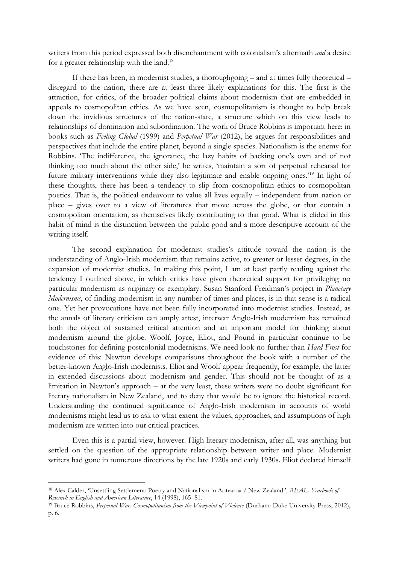writers from this period expressed both disenchantment with colonialism's aftermath *and* a desire for a greater relationship with the land.<sup>18</sup>

If there has been, in modernist studies, a thoroughgoing – and at times fully theoretical – disregard to the nation, there are at least three likely explanations for this. The first is the attraction, for critics, of the broader political claims about modernism that are embedded in appeals to cosmopolitan ethics. As we have seen, cosmopolitanism is thought to help break down the invidious structures of the nation-state, a structure which on this view leads to relationships of domination and subordination. The work of Bruce Robbins is important here: in books such as *Feeling Global* (1999) and *Perpetual War* (2012), he argues for responsibilities and perspectives that include the entire planet, beyond a single species. Nationalism is the enemy for Robbins. 'The indifference, the ignorance, the lazy habits of backing one's own and of not thinking too much about the other side,' he writes, 'maintain a sort of perpetual rehearsal for future military interventions while they also legitimate and enable ongoing ones.'<sup>19</sup> In light of these thoughts, there has been a tendency to slip from cosmopolitan ethics to cosmopolitan poetics. That is, the political endeavour to value all lives equally – independent from nation or place – gives over to a view of literatures that move across the globe, or that contain a cosmopolitan orientation, as themselves likely contributing to that good. What is elided in this habit of mind is the distinction between the public good and a more descriptive account of the writing itself.

The second explanation for modernist studies's attitude toward the nation is the understanding of Anglo-Irish modernism that remains active, to greater or lesser degrees, in the expansion of modernist studies. In making this point, I am at least partly reading against the tendency I outlined above, in which critics have given theoretical support for privileging no particular modernism as originary or exemplary. Susan Stanford Freidman's project in *Planetary Modernisms*, of finding modernism in any number of times and places, is in that sense is a radical one. Yet her provocations have not been fully incorporated into modernist studies. Instead, as the annals of literary criticism can amply attest, interwar Anglo-Irish modernism has remained both the object of sustained critical attention and an important model for thinking about modernism around the globe. Woolf, Joyce, Eliot, and Pound in particular continue to be touchstones for defining postcolonial modernisms. We need look no further than *Hard Frost* for evidence of this: Newton develops comparisons throughout the book with a number of the better-known Anglo-Irish modernists. Eliot and Woolf appear frequently, for example, the latter in extended discussions about modernism and gender. This should not be thought of as a limitation in Newton's approach – at the very least, these writers were no doubt significant for literary nationalism in New Zealand, and to deny that would be to ignore the historical record. Understanding the continued significance of Anglo-Irish modernism in accounts of world modernisms might lead us to ask to what extent the values, approaches, and assumptions of high modernism are written into our critical practices.

Even this is a partial view, however. High literary modernism, after all, was anything but settled on the question of the appropriate relationship between writer and place. Modernist writers had gone in numerous directions by the late 1920s and early 1930s. Eliot declared himself

<sup>18</sup> Alex Calder, 'Unsettling Settlement: Poetry and Nationalism in Aotearoa / New Zealand.', *REAL: Yearbook of Research in English and American Literature*, 14 (1998), 165–81.

<sup>&</sup>lt;sup>19</sup> Bruce Robbins, *Perpetual War: Cosmopolitanism from the Viewpoint of Violence* (Durham: Duke University Press, 2012), p. 6.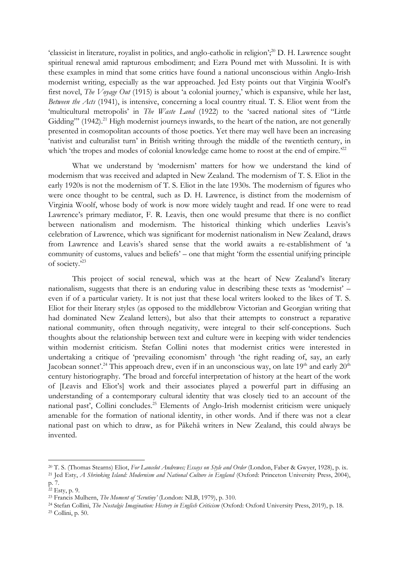'classicist in literature, royalist in politics, and anglo-catholic in religion';<sup>20</sup> D. H. Lawrence sought spiritual renewal amid rapturous embodiment; and Ezra Pound met with Mussolini. It is with these examples in mind that some critics have found a national unconscious within Anglo-Irish modernist writing, especially as the war approached. Jed Esty points out that Virginia Woolf's first novel, *The Voyage Out* (1915) is about 'a colonial journey,' which is expansive, while her last, *Between the Acts* (1941), is intensive, concerning a local country ritual. T. S. Eliot went from the 'multicultural metropolis' in *The Waste Land* (1922) to the 'sacred national sites of "Little Gidding"' (1942).<sup>21</sup> High modernist journeys inwards, to the heart of the nation, are not generally presented in cosmopolitan accounts of those poetics. Yet there may well have been an increasing 'nativist and culturalist turn' in British writing through the middle of the twentieth century, in which 'the tropes and modes of colonial knowledge came home to roost at the end of empire.<sup>222</sup>

What we understand by 'modernism' matters for how we understand the kind of modernism that was received and adapted in New Zealand. The modernism of T. S. Eliot in the early 1920s is not the modernism of T. S. Eliot in the late 1930s. The modernism of figures who were once thought to be central, such as D. H. Lawrence, is distinct from the modernism of Virginia Woolf, whose body of work is now more widely taught and read. If one were to read Lawrence's primary mediator, F. R. Leavis, then one would presume that there is no conflict between nationalism and modernism. The historical thinking which underlies Leavis's celebration of Lawrence, which was significant for modernist nationalism in New Zealand, draws from Lawrence and Leavis's shared sense that the world awaits a re-establishment of 'a community of customs, values and beliefs' – one that might 'form the essential unifying principle of society.'<sup>23</sup>

This project of social renewal, which was at the heart of New Zealand's literary nationalism, suggests that there is an enduring value in describing these texts as 'modernist' – even if of a particular variety. It is not just that these local writers looked to the likes of T. S. Eliot for their literary styles (as opposed to the middlebrow Victorian and Georgian writing that had dominated New Zealand letters), but also that their attempts to construct a reparative national community, often through negativity, were integral to their self-conceptions. Such thoughts about the relationship between text and culture were in keeping with wider tendencies within modernist criticism. Stefan Collini notes that modernist critics were interested in undertaking a critique of 'prevailing economism' through 'the right reading of, say, an early Jacobean sonnet'.<sup>24</sup> This approach drew, even if in an unconscious way, on late  $19<sup>th</sup>$  and early  $20<sup>th</sup>$ century historiography. 'The broad and forceful interpretation of history at the heart of the work of [Leavis and Eliot's] work and their associates played a powerful part in diffusing an understanding of a contemporary cultural identity that was closely tied to an account of the national past', Collini concludes.<sup>25</sup> Elements of Anglo-Irish modernist criticism were uniquely amenable for the formation of national identity, in other words. And if there was not a clear national past on which to draw, as for Pākehā writers in New Zealand, this could always be invented.

<sup>20</sup> T. S. (Thomas Stearns) Eliot, *For Lancelot Andrewes; Essays on Style and Order* (London, Faber & Gwyer, 1928), p. ix.

<sup>21</sup> Jed Esty, *A Shrinking Island: Modernism and National Culture in England* (Oxford: Princeton University Press, 2004), p. 7.

<sup>22</sup> Esty, p. 9.

<sup>23</sup> Francis Mulhern, *The Moment of 'Scrutiny'* (London: NLB, 1979), p. 310.

<sup>24</sup> Stefan Collini, *The Nostalgic Imagination: History in English Criticism* (Oxford: Oxford University Press, 2019), p. 18. <sup>25</sup> Collini, p. 50.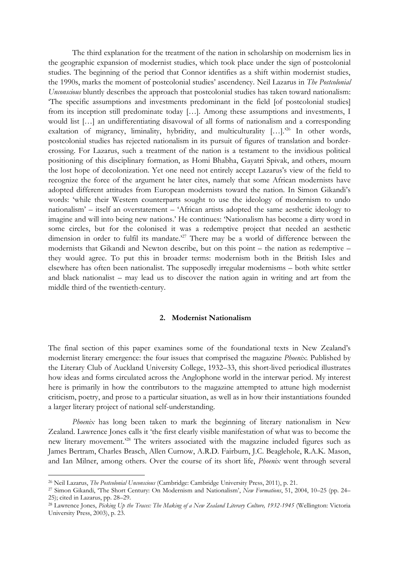The third explanation for the treatment of the nation in scholarship on modernism lies in the geographic expansion of modernist studies, which took place under the sign of postcolonial studies. The beginning of the period that Connor identifies as a shift within modernist studies, the 1990s, marks the moment of postcolonial studies' ascendency. Neil Lazarus in *The Postcolonial Unconscious* bluntly describes the approach that postcolonial studies has taken toward nationalism: 'The specific assumptions and investments predominant in the field [of postcolonial studies] from its inception still predominate today […]. Among these assumptions and investments, I would list […] an undifferentiating disavowal of all forms of nationalism and a corresponding exaltation of migrancy, liminality, hybridity, and multiculturality [...].<sup>26</sup> In other words, postcolonial studies has rejected nationalism in its pursuit of figures of translation and bordercrossing. For Lazarus, such a treatment of the nation is a testament to the invidious political positioning of this disciplinary formation, as Homi Bhabha, Gayatri Spivak, and others, mourn the lost hope of decolonization. Yet one need not entirely accept Lazarus's view of the field to recognize the force of the argument he later cites, namely that some African modernists have adopted different attitudes from European modernists toward the nation. In Simon Gikandi's words: 'while their Western counterparts sought to use the ideology of modernism to undo nationalism' – itself an overstatement – 'African artists adopted the same aesthetic ideology to imagine and will into being new nations.' He continues: 'Nationalism has become a dirty word in some circles, but for the colonised it was a redemptive project that needed an aesthetic dimension in order to fulfil its mandate.<sup>27</sup> There may be a world of difference between the modernists that Gikandi and Newton describe, but on this point – the nation as redemptive – they would agree. To put this in broader terms: modernism both in the British Isles and elsewhere has often been nationalist. The supposedly irregular modernisms – both white settler and black nationalist – may lead us to discover the nation again in writing and art from the middle third of the twentieth-century.

## **2. Modernist Nationalism**

The final section of this paper examines some of the foundational texts in New Zealand's modernist literary emergence: the four issues that comprised the magazine *Phoenix.* Published by the Literary Club of Auckland University College, 1932–33, this short-lived periodical illustrates how ideas and forms circulated across the Anglophone world in the interwar period. My interest here is primarily in how the contributors to the magazine attempted to attune high modernist criticism, poetry, and prose to a particular situation, as well as in how their instantiations founded a larger literary project of national self-understanding.

*Phoenix* has long been taken to mark the beginning of literary nationalism in New Zealand. Lawrence Jones calls it 'the first clearly visible manifestation of what was to become the new literary movement.'<sup>28</sup> The writers associated with the magazine included figures such as James Bertram, Charles Brasch, Allen Curnow, A.R.D. Fairburn, J.C. Beaglehole, R.A.K. Mason, and Ian Milner, among others. Over the course of its short life, *Phoenix* went through several

<sup>26</sup> Neil Lazarus, *The Postcolonial Unconscious* (Cambridge: Cambridge University Press, 2011), p. 21.

<sup>27</sup> Simon Gikandi, 'The Short Century: On Modernism and Nationalism', *New Formations*, 51, 2004, 10–25 (pp. 24– 25); cited in Lazarus, pp. 28–29.

<sup>28</sup> Lawrence Jones, *Picking Up the Traces: The Making of a New Zealand Literary Culture, 1932-1945* (Wellington: Victoria University Press, 2003), p. 23.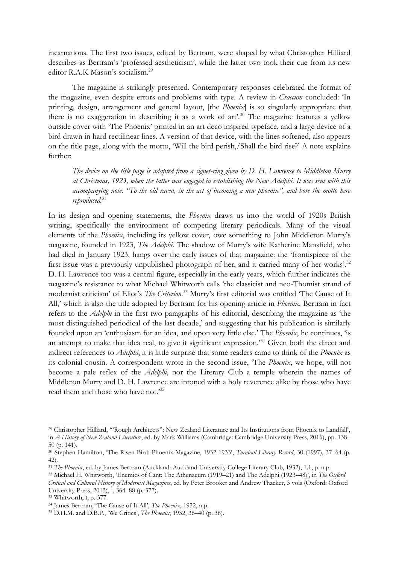incarnations. The first two issues, edited by Bertram, were shaped by what Christopher Hilliard describes as Bertram's 'professed aestheticism', while the latter two took their cue from its new editor R.A.K Mason's socialism.<sup>29</sup>

The magazine is strikingly presented. Contemporary responses celebrated the format of the magazine, even despite errors and problems with type. A review in *Craccum* concluded: 'In printing, design, arrangement and general layout, [the *Phoenix*] is so singularly appropriate that there is no exaggeration in describing it as a work of art'.<sup>30</sup> The magazine features a yellow outside cover with 'The Phoenix' printed in an art deco inspired typeface, and a large device of a bird drawn in hard rectilinear lines. A version of that device, with the lines softened, also appears on the title page, along with the motto, 'Will the bird perish,/Shall the bird rise?' A note explains further:

*The device on the title page is adapted from a signet-ring given by D. H. Lawrence to Middleton Murry at Christmas, 1923, when the latter was engaged in establishing the New Adelphi. It was sent with this accompanying note: "To the old raven, in the act of becoming a new phoenix", and bore the motto here reproduced.*<sup>31</sup>

In its design and opening statements, the *Phoenix* draws us into the world of 1920s British writing, specifically the environment of competing literary periodicals. Many of the visual elements of the *Phoenix*, including its yellow cover, owe something to John Middleton Murry's magazine, founded in 1923, *The Adelphi*. The shadow of Murry's wife Katherine Mansfield, who had died in January 1923, hangs over the early issues of that magazine: the 'frontispiece of the first issue was a previously unpublished photograph of her, and it carried many of her works'.<sup>32</sup> D. H. Lawrence too was a central figure, especially in the early years, which further indicates the magazine's resistance to what Michael Whitworth calls 'the classicist and neo-Thomist strand of modernist criticism' of Eliot's *The Criterion.*<sup>33</sup> Murry's first editorial was entitled 'The Cause of It All,' which is also the title adopted by Bertram for his opening article in *Phoenix*. Bertram in fact refers to the *Adelphi* in the first two paragraphs of his editorial, describing the magazine as 'the most distinguished periodical of the last decade,' and suggesting that his publication is similarly founded upon an 'enthusiasm for an idea, and upon very little else.' The *Phoenix*, he continues, 'is an attempt to make that idea real, to give it significant expression.'<sup>34</sup> Given both the direct and indirect references to *Adelphi*, it is little surprise that some readers came to think of the *Phoenix* as its colonial cousin. A correspondent wrote in the second issue, 'The *Phoenix*, we hope, will not become a pale reflex of the *Adelphi*, nor the Literary Club a temple wherein the names of Middleton Murry and D. H. Lawrence are intoned with a holy reverence alike by those who have read them and those who have not.'<sup>35</sup>

<sup>29</sup> Christopher Hilliard, '"Rough Architects": New Zealand Literature and Its Institutions from Phoenix to Landfall', in *A History of New Zealand Literature*, ed. by Mark Williams (Cambridge: Cambridge University Press, 2016), pp. 138– 50 (p. 141).

<sup>30</sup> Stephen Hamilton, 'The Risen Bird: Phoenix Magazine, 1932-1933', *Turnbull Library Record*, 30 (1997), 37–64 (p. 42).

<sup>31</sup> *The Phoenix*, ed. by James Bertram (Auckland: Auckland University College Literary Club, 1932), 1.1, p. n.p.

<sup>32</sup> Michael H. Whitworth, 'Enemies of Cant: The Athenaeum (1919–21) and The Adelphi (1923–48)', in *The Oxford Critical and Cultural History of Modernist Magazines*, ed. by Peter Brooker and Andrew Thacker, 3 vols (Oxford: Oxford University Press, 2013), I, 364–88 (p. 377).

<sup>33</sup> Whitworth, I, p. 377.

<sup>34</sup> James Bertram, 'The Cause of It All', *The Phoenix*, 1932, n.p.

<sup>35</sup> D.H.M. and D.B.P., 'We Critics', *The Phoenix*, 1932, 36–40 (p. 36).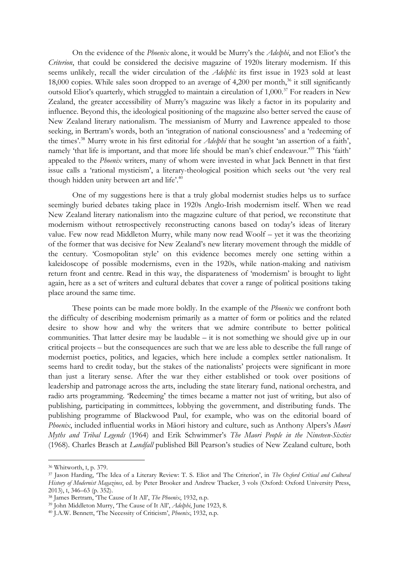On the evidence of the *Phoenix* alone, it would be Murry's the *Adelphi*, and not Eliot's the *Criterion*, that could be considered the decisive magazine of 1920s literary modernism. If this seems unlikely, recall the wider circulation of the *Adelphi:* its first issue in 1923 sold at least 18,000 copies. While sales soon dropped to an average of 4,200 per month,<sup>36</sup> it still significantly outsold Eliot's quarterly, which struggled to maintain a circulation of 1,000.<sup>37</sup> For readers in New Zealand, the greater accessibility of Murry's magazine was likely a factor in its popularity and influence. Beyond this, the ideological positioning of the magazine also better served the cause of New Zealand literary nationalism. The messianism of Murry and Lawrence appealed to those seeking, in Bertram's words, both an 'integration of national consciousness' and a 'redeeming of the times'.<sup>38</sup> Murry wrote in his first editorial for *Adelphi* that he sought 'an assertion of a faith', namely 'that life is important, and that more life should be man's chief endeavour.'<sup>39</sup> This 'faith' appealed to the *Phoenix* writers, many of whom were invested in what Jack Bennett in that first issue calls a 'rational mysticism', a literary-theological position which seeks out 'the very real though hidden unity between art and life'.<sup>40</sup>

One of my suggestions here is that a truly global modernist studies helps us to surface seemingly buried debates taking place in 1920s Anglo-Irish modernism itself. When we read New Zealand literary nationalism into the magazine culture of that period, we reconstitute that modernism without retrospectively reconstructing canons based on today's ideas of literary value. Few now read Middleton Murry, while many now read Woolf – yet it was the theorizing of the former that was decisive for New Zealand's new literary movement through the middle of the century. 'Cosmopolitan style' on this evidence becomes merely one setting within a kaleidoscope of possible modernisms, even in the 1920s, while nation-making and nativism return front and centre. Read in this way, the disparateness of 'modernism' is brought to light again, here as a set of writers and cultural debates that cover a range of political positions taking place around the same time.

These points can be made more boldly. In the example of the *Phoenix* we confront both the difficulty of describing modernism primarily as a matter of form or politics and the related desire to show how and why the writers that we admire contribute to better political communities. That latter desire may be laudable – it is not something we should give up in our critical projects – but the consequences are such that we are less able to describe the full range of modernist poetics, politics, and legacies, which here include a complex settler nationalism. It seems hard to credit today, but the stakes of the nationalists' projects were significant in more than just a literary sense. After the war they either established or took over positions of leadership and patronage across the arts, including the state literary fund, national orchestra, and radio arts programming. 'Redeeming' the times became a matter not just of writing, but also of publishing, participating in committees, lobbying the government, and distributing funds. The publishing programme of Blackwood Paul, for example, who was on the editorial board of *Phoenix*, included influential works in Māori history and culture, such as Anthony Alpers's *Maori Myths and Tribal Legends* (1964) and Erik Schwimmer's *The Maori People in the Nineteen-Sixties* (1968). Charles Brasch at *Landfall* published Bill Pearson's studies of New Zealand culture, both

<sup>36</sup> Whitworth, I, p. 379.

<sup>37</sup> Jason Harding, 'The Idea of a Literary Review: T. S. Eliot and The Criterion', in *The Oxford Critical and Cultural History of Modernist Magazines*, ed. by Peter Brooker and Andrew Thacker, 3 vols (Oxford: Oxford University Press, 2013), I, 346–63 (p. 352).

<sup>38</sup> James Bertram, 'The Cause of It All', *The Phoenix*, 1932, n.p.

<sup>39</sup> John Middleton Murry, 'The Cause of It All', *Adelphi*, June 1923, 8.

<sup>40</sup> J.A.W. Bennett, 'The Necessity of Criticism', *Phoenix*, 1932, n.p.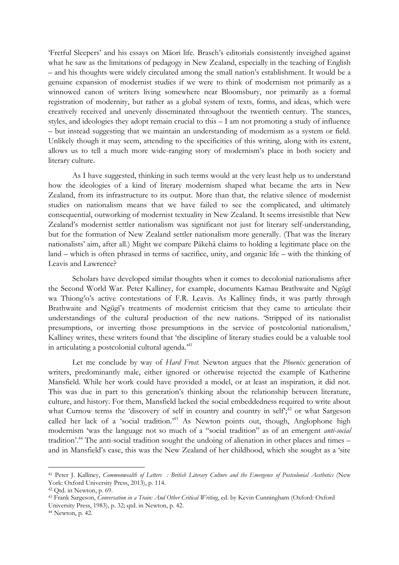'Fretful Sleepers' and his essays on Māori life. Brasch's editorials consistently inveighed against what he saw as the limitations of pedagogy in New Zealand, especially in the teaching of English – and his thoughts were widely circulated among the small nation's establishment. It would be a genuine expansion of modernist studies if we were to think of modernism not primarily as a winnowed canon of writers living somewhere near Bloomsbury, nor primarily as a formal registration of modernity, but rather as a global system of texts, forms, and ideas, which were creatively received and unevenly disseminated throughout the twentieth century. The stances, styles, and ideologies they adopt remain crucial to this  $-1$  am not promoting a study of influence – but instead suggesting that we maintain an understanding of modernism as a system or field. Unlikely though it may seem, attending to the specificities of this writing, along with its extent, allows us to tell a much more wide-ranging story of modernism's place in both society and literary culture.

As I have suggested, thinking in such terms would at the very least help us to understand how the ideologies of a kind of literary modernism shaped what became the arts in New Zealand, from its infrastructure to its output. More than that, the relative silence of modernist studies on nationalism means that we have failed to see the complicated, and ultimately consequential, outworking of modernist textuality in New Zealand. It seems irresistible that New Zealand's modernist settler nationalism was significant not just for literary self-understanding, but for the formation of New Zealand settler nationalism more generally. (That was the literary nationalists' aim, after all.) Might we compare Pākehā claims to holding a legitimate place on the land – which is often phrased in terms of sacrifice, unity, and organic life – with the thinking of Leavis and Lawrence?

Scholars have developed similar thoughts when it comes to decolonial nationalisms after the Second World War. Peter Kalliney, for example, documents Kamau Brathwaite and Ngũgĩ wa Thiong'o's active contestations of F.R. Leavis. As Kalliney finds, it was partly through Brathwaite and Ngũgĩ's treatments of modernist criticism that they came to articulate their understandings of the cultural production of the new nations. 'Stripped of its nationalist presumptions, or inverting those presumptions in the service of postcolonial nationalism,' Kalliney writes, these writers found that 'the discipline of literary studies could be a valuable tool in articulating a postcolonial cultural agenda.<sup>341</sup>

Let me conclude by way of *Hard Frost.* Newton argues that the *Phoenix* generation of writers, predominantly male, either ignored or otherwise rejected the example of Katherine Mansfield. While her work could have provided a model, or at least an inspiration, it did not. This was due in part to this generation's thinking about the relationship between literature, culture, and history. For them, Mansfield lacked the social embeddedness required to write about what Curnow terms the 'discovery of self in country and country in self';<sup>42</sup> or what Sargeson called her lack of a 'social tradition.<sup>243</sup> As Newton points out, though, Anglophone high modernism 'was the language not so much of a "social tradition" as of an emergent *anti-social* tradition'.<sup>44</sup> The anti-social tradition sought the undoing of alienation in other places and times – and in Mansfield's case, this was the New Zealand of her childhood, which she sought as a 'site

<sup>41</sup> Peter J. Kalliney, *Commonwealth of Letters : British Literary Culture and the Emergence of Postcolonial Aesthetics* (New York: Oxford University Press, 2013), p. 114.

 $42$  Qtd. in Newton, p. 69.

<sup>43</sup> Frank Sargeson, *Conversation in a Train: And Other Critical Writing*, ed. by Kevin Cunningham (Oxford: Oxford University Press, 1983), p. 32; qtd. in Newton, p. 42.

<sup>44</sup> Newton, p. 42.